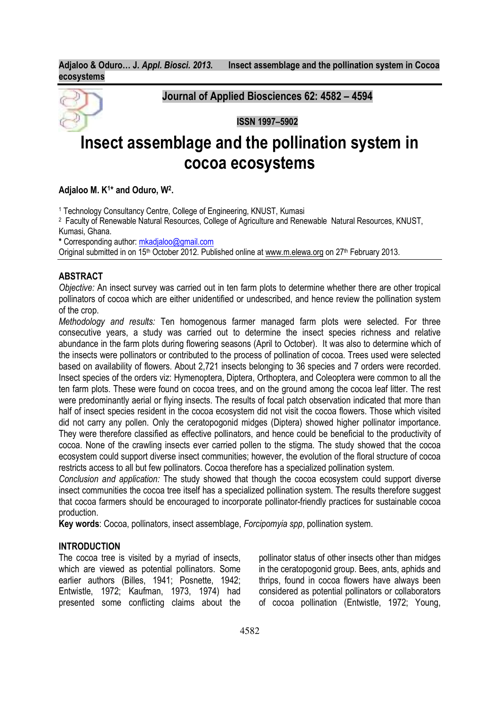

Journal of Applied Biosciences 62: 4582 – 4594

ISSN 1997–5902

# Insect assemblage and the pollination system in cocoa ecosystems

# Adjaloo M. K<sup>1\*</sup> and Oduro, W<sup>2</sup>.

<sup>1</sup> Technology Consultancy Centre, College of Engineering, KNUST, Kumasi

2 Faculty of Renewable Natural Resources, College of Agriculture and Renewable Natural Resources, KNUST, Kumasi, Ghana.

\* Corresponding author: mkadjaloo@gmail.com

Original submitted in on 15<sup>th</sup> October 2012. Published online at www.m.elewa.org on 27<sup>th</sup> February 2013.

# **ABSTRACT**

Objective: An insect survey was carried out in ten farm plots to determine whether there are other tropical pollinators of cocoa which are either unidentified or undescribed, and hence review the pollination system of the crop.

Methodology and results: Ten homogenous farmer managed farm plots were selected. For three consecutive years, a study was carried out to determine the insect species richness and relative abundance in the farm plots during flowering seasons (April to October). It was also to determine which of the insects were pollinators or contributed to the process of pollination of cocoa. Trees used were selected based on availability of flowers. About 2,721 insects belonging to 36 species and 7 orders were recorded. Insect species of the orders viz: Hymenoptera, Diptera, Orthoptera, and Coleoptera were common to all the ten farm plots. These were found on cocoa trees, and on the ground among the cocoa leaf litter. The rest were predominantly aerial or flying insects. The results of focal patch observation indicated that more than half of insect species resident in the cocoa ecosystem did not visit the cocoa flowers. Those which visited did not carry any pollen. Only the ceratopogonid midges (Diptera) showed higher pollinator importance. They were therefore classified as effective pollinators, and hence could be beneficial to the productivity of cocoa. None of the crawling insects ever carried pollen to the stigma. The study showed that the cocoa ecosystem could support diverse insect communities; however, the evolution of the floral structure of cocoa restricts access to all but few pollinators. Cocoa therefore has a specialized pollination system.

Conclusion and application: The study showed that though the cocoa ecosystem could support diverse insect communities the cocoa tree itself has a specialized pollination system. The results therefore suggest that cocoa farmers should be encouraged to incorporate pollinator-friendly practices for sustainable cocoa production.

Key words: Cocoa, pollinators, insect assemblage, Forcipomyia spp, pollination system.

## INTRODUCTION

The cocoa tree is visited by a myriad of insects, which are viewed as potential pollinators. Some earlier authors (Billes, 1941; Posnette, 1942; Entwistle, 1972; Kaufman, 1973, 1974) had presented some conflicting claims about the

pollinator status of other insects other than midges in the ceratopogonid group. Bees, ants, aphids and thrips, found in cocoa flowers have always been considered as potential pollinators or collaborators of cocoa pollination (Entwistle, 1972; Young,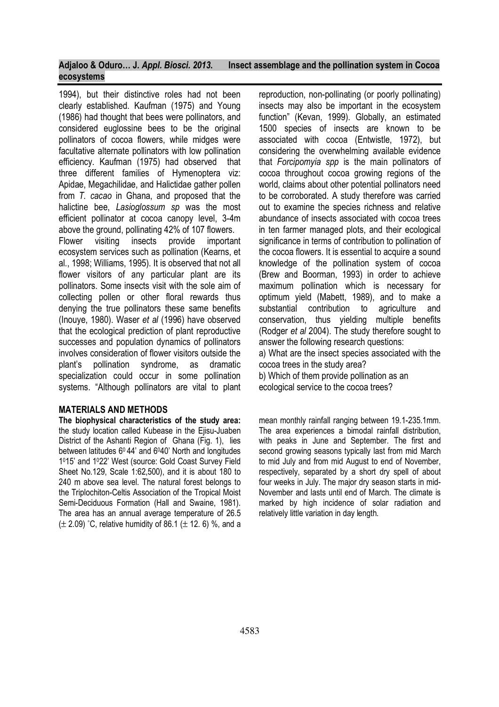1994), but their distinctive roles had not been clearly established. Kaufman (1975) and Young (1986) had thought that bees were pollinators, and considered euglossine bees to be the original pollinators of cocoa flowers, while midges were facultative alternate pollinators with low pollination efficiency. Kaufman (1975) had observed that three different families of Hymenoptera viz: Apidae, Megachilidae, and Halictidae gather pollen from T. cacao in Ghana, and proposed that the halictine bee, Lasioglossum sp was the most efficient pollinator at cocoa canopy level, 3-4m above the ground, pollinating 42% of 107 flowers. Flower visiting insects provide important ecosystem services such as pollination (Kearns, et al., 1998; Williams, 1995). It is observed that not all flower visitors of any particular plant are its pollinators. Some insects visit with the sole aim of collecting pollen or other floral rewards thus denying the true pollinators these same benefits (Inouye, 1980). Waser et al (1996) have observed that the ecological prediction of plant reproductive successes and population dynamics of pollinators involves consideration of flower visitors outside the plant's pollination syndrome, as dramatic specialization could occur in some pollination systems. "Although pollinators are vital to plant

## MATERIALS AND METHODS

The biophysical characteristics of the study area: the study location called Kubease in the Ejisu-Juaben District of the Ashanti Region of Ghana (Fig. 1), lies between latitudes  $6^{\circ}44'$  and  $6^{\circ}40'$  North and longitudes 1 <sup>0</sup>15' and 1022' West (source: Gold Coast Survey Field Sheet No.129, Scale 1:62,500), and it is about 180 to 240 m above sea level. The natural forest belongs to the Triplochiton-Celtis Association of the Tropical Moist Semi-Deciduous Formation (Hall and Swaine, 1981). The area has an annual average temperature of 26.5  $(\pm 2.09)$  °C, relative humidity of 86.1 ( $\pm$  12, 6) %, and a

reproduction, non-pollinating (or poorly pollinating) insects may also be important in the ecosystem function" (Kevan, 1999). Globally, an estimated 1500 species of insects are known to be associated with cocoa (Entwistle, 1972), but considering the overwhelming available evidence that Forcipomyia spp is the main pollinators of cocoa throughout cocoa growing regions of the world, claims about other potential pollinators need to be corroborated. A study therefore was carried out to examine the species richness and relative abundance of insects associated with cocoa trees in ten farmer managed plots, and their ecological significance in terms of contribution to pollination of the cocoa flowers. It is essential to acquire a sound knowledge of the pollination system of cocoa (Brew and Boorman, 1993) in order to achieve maximum pollination which is necessary for optimum yield (Mabett, 1989), and to make a substantial contribution to agriculture and conservation, thus yielding multiple benefits (Rodger et al 2004). The study therefore sought to answer the following research questions:

a) What are the insect species associated with the cocoa trees in the study area?

b) Which of them provide pollination as an ecological service to the cocoa trees?

mean monthly rainfall ranging between 19.1-235.1mm. The area experiences a bimodal rainfall distribution, with peaks in June and September. The first and second growing seasons typically last from mid March to mid July and from mid August to end of November, respectively, separated by a short dry spell of about four weeks in July. The major dry season starts in mid-November and lasts until end of March. The climate is marked by high incidence of solar radiation and relatively little variation in day length.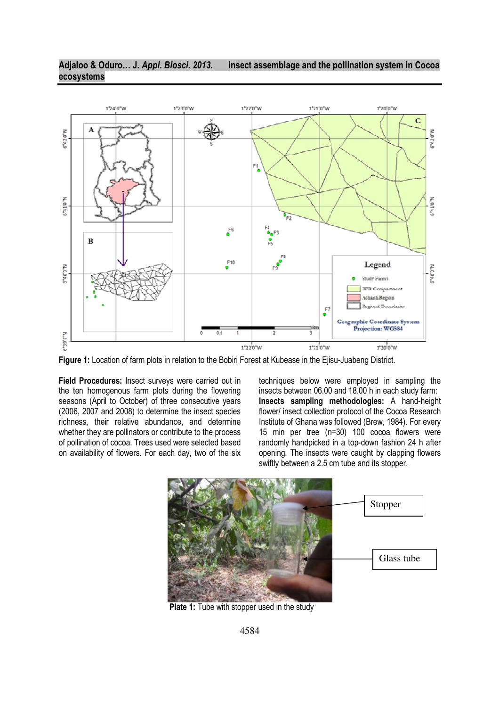

Figure 1: Location of farm plots in relation to the Bobiri Forest at Kubease in the Ejisu-Juabeng District.

Field Procedures: Insect surveys were carried out in the ten homogenous farm plots during the flowering seasons (April to October) of three consecutive years (2006, 2007 and 2008) to determine the insect species richness, their relative abundance, and determine whether they are pollinators or contribute to the process of pollination of cocoa. Trees used were selected based on availability of flowers. For each day, two of the six techniques below were employed in sampling the insects between 06.00 and 18.00 h in each study farm: Insects sampling methodologies: A hand-height flower/ insect collection protocol of the Cocoa Research Institute of Ghana was followed (Brew, 1984). For every 15 min per tree (n=30) 100 cocoa flowers were randomly handpicked in a top-down fashion 24 h after opening. The insects were caught by clapping flowers swiftly between a 2.5 cm tube and its stopper.



Plate 1: Tube with stopper used in the study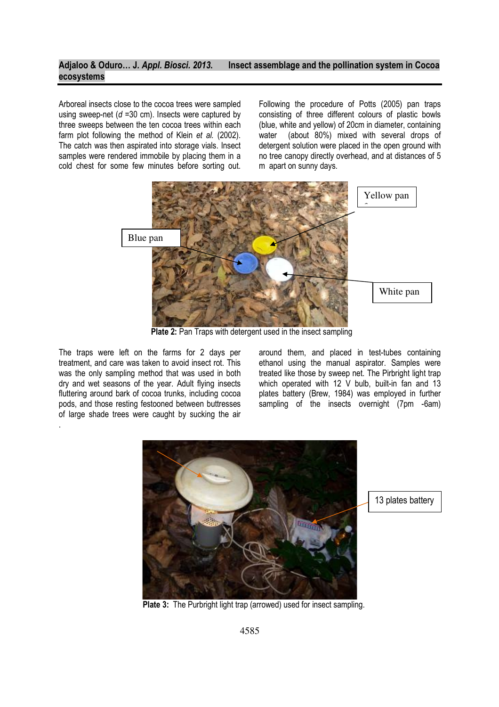Arboreal insects close to the cocoa trees were sampled using sweep-net ( $d = 30$  cm). Insects were captured by three sweeps between the ten cocoa trees within each farm plot following the method of Klein et al. (2002). The catch was then aspirated into storage vials. Insect samples were rendered immobile by placing them in a cold chest for some few minutes before sorting out.

Following the procedure of Potts (2005) pan traps consisting of three different colours of plastic bowls (blue, white and yellow) of 20cm in diameter, containing water (about 80%) mixed with several drops of detergent solution were placed in the open ground with no tree canopy directly overhead, and at distances of 5 m apart on sunny days.



Plate 2: Pan Traps with detergent used in the insect sampling

The traps were left on the farms for 2 days per treatment, and care was taken to avoid insect rot. This was the only sampling method that was used in both dry and wet seasons of the year. Adult flying insects fluttering around bark of cocoa trunks, including cocoa pods, and those resting festooned between buttresses of large shade trees were caught by sucking the air

.

around them, and placed in test-tubes containing ethanol using the manual aspirator. Samples were treated like those by sweep net. The Pirbright light trap which operated with 12 V bulb, built-in fan and 13 plates battery (Brew, 1984) was employed in further sampling of the insects overnight (7pm -6am)



13 plates battery

Plate 3: The Purbright light trap (arrowed) used for insect sampling.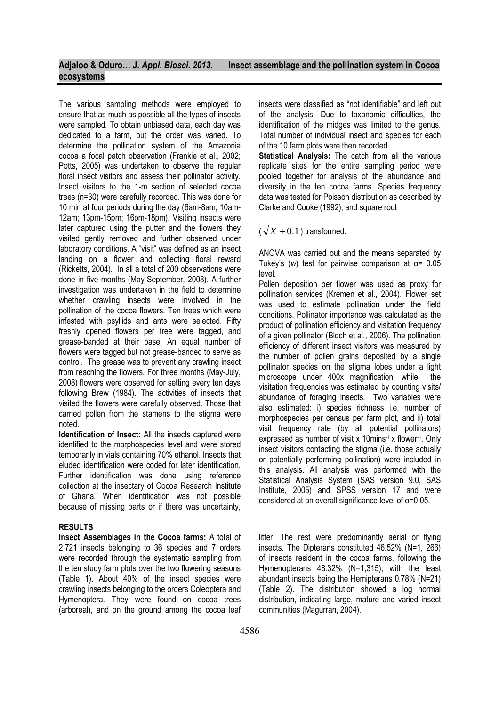The various sampling methods were employed to ensure that as much as possible all the types of insects were sampled. To obtain unbiased data, each day was dedicated to a farm, but the order was varied. To determine the pollination system of the Amazonia cocoa a focal patch observation (Frankie et al., 2002; Potts, 2005) was undertaken to observe the regular floral insect visitors and assess their pollinator activity. Insect visitors to the 1-m section of selected cocoa trees (n=30) were carefully recorded. This was done for 10 min at four periods during the day (6am-8am; 10am-12am; 13pm-15pm; 16pm-18pm). Visiting insects were later captured using the putter and the flowers they visited gently removed and further observed under laboratory conditions. A "visit" was defined as an insect landing on a flower and collecting floral reward (Ricketts, 2004). In all a total of 200 observations were done in five months (May-September, 2008). A further investigation was undertaken in the field to determine whether crawling insects were involved in the pollination of the cocoa flowers. Ten trees which were infested with psyllids and ants were selected. Fifty freshly opened flowers per tree were tagged, and grease-banded at their base. An equal number of flowers were tagged but not grease-banded to serve as control. The grease was to prevent any crawling insect from reaching the flowers. For three months (May-July, 2008) flowers were observed for setting every ten days following Brew (1984). The activities of insects that visited the flowers were carefully observed. Those that carried pollen from the stamens to the stigma were noted.

Identification of Insect: All the insects captured were identified to the morphospecies level and were stored temporarily in vials containing 70% ethanol. Insects that eluded identification were coded for later identification. Further identification was done using reference collection at the insectary of Cocoa Research Institute of Ghana. When identification was not possible because of missing parts or if there was uncertainty,

#### RESULTS

Insect Assemblages in the Cocoa farms: A total of 2,721 insects belonging to 36 species and 7 orders were recorded through the systematic sampling from the ten study farm plots over the two flowering seasons (Table 1). About 40% of the insect species were crawling insects belonging to the orders Coleoptera and Hymenoptera. They were found on cocoa trees (arboreal), and on the ground among the cocoa leaf

insects were classified as "not identifiable" and left out of the analysis. Due to taxonomic difficulties, the identification of the midges was limited to the genus. Total number of individual insect and species for each of the 10 farm plots were then recorded.

Statistical Analysis: The catch from all the various replicate sites for the entire sampling period were pooled together for analysis of the abundance and diversity in the ten cocoa farms. Species frequency data was tested for Poisson distribution as described by Clarke and Cooke (1992), and square root

# $(\sqrt{X+0.1})$  transformed.

ANOVA was carried out and the means separated by Tukey's (w) test for pairwise comparison at  $\alpha$  = 0.05 level.

Pollen deposition per flower was used as proxy for pollination services (Kremen et al., 2004). Flower set was used to estimate pollination under the field conditions. Pollinator importance was calculated as the product of pollination efficiency and visitation frequency of a given pollinator (Bloch et al., 2006). The pollination efficiency of different insect visitors was measured by the number of pollen grains deposited by a single pollinator species on the stigma lobes under a light microscope under 400x magnification, while the visitation frequencies was estimated by counting visits/ abundance of foraging insects. Two variables were also estimated: i) species richness i.e. number of morphospecies per census per farm plot, and ii) total visit frequency rate (by all potential pollinators) expressed as number of visit x 10mins<sup>-1</sup> x flower<sup>-1</sup>. Only insect visitors contacting the stigma (i.e. those actually or potentially performing pollination) were included in this analysis. All analysis was performed with the Statistical Analysis System (SAS version 9.0, SAS Institute, 2005) and SPSS version 17 and were considered at an overall significance level of α=0.05.

litter. The rest were predominantly aerial or flying insects. The Dipterans constituted 46.52% (N=1, 266) of insects resident in the cocoa farms, following the Hymenopterans 48.32% (N=1,315), with the least abundant insects being the Hemipterans 0.78% (N=21) (Table 2). The distribution showed a log normal distribution, indicating large, mature and varied insect communities (Magurran, 2004).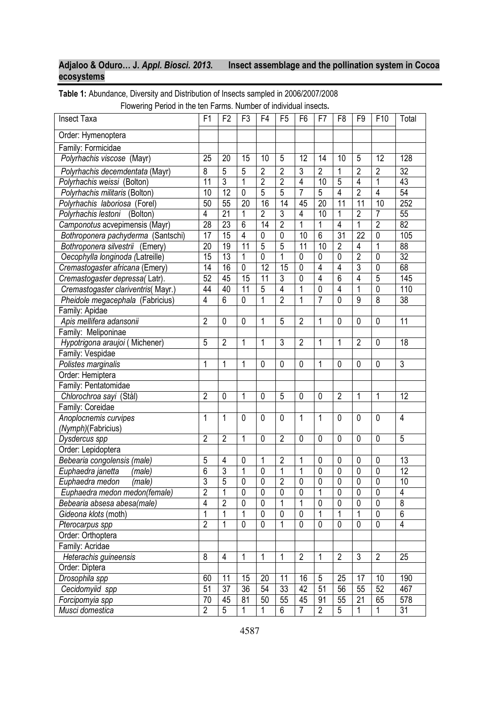| Flowering Period in the ten Farms. Number of individual insects. |                 |                         |                 |                 |                 |                 |                 |                  |                  |                 |                 |
|------------------------------------------------------------------|-----------------|-------------------------|-----------------|-----------------|-----------------|-----------------|-----------------|------------------|------------------|-----------------|-----------------|
| <b>Insect Taxa</b>                                               | F <sub>1</sub>  | F <sub>2</sub>          | F <sub>3</sub>  | F <sub>4</sub>  | F <sub>5</sub>  | F <sub>6</sub>  | F7              | F <sub>8</sub>   | F <sub>9</sub>   | F <sub>10</sub> | Total           |
| Order: Hymenoptera                                               |                 |                         |                 |                 |                 |                 |                 |                  |                  |                 |                 |
| Family: Formicidae                                               |                 |                         |                 |                 |                 |                 |                 |                  |                  |                 |                 |
| Polyrhachis viscose (Mayr)                                       | 25              | 20                      | 15              | 10              | $\overline{5}$  | 12              | 14              | 10               | 5                | 12              | 128             |
| Polyrhachis decemdentata (Mayr)                                  | 8               | 5                       | 5               | 2               | $\overline{2}$  | 3               | $\overline{2}$  | 1                | $\overline{2}$   | $\overline{2}$  | 32              |
| Polyrhachis weissi (Bolton)                                      | 11              | $\overline{3}$          | $\mathbf 1$     | $\overline{2}$  | $\overline{2}$  | $\overline{4}$  | 10              | 5                | $\overline{4}$   | 1               | 43              |
| Polyrhachis militaris (Bolton)                                   | 10              | 12                      | $\mathbf{0}$    | 5               | 5               | $\overline{7}$  | $\overline{5}$  | $\overline{4}$   | $\overline{2}$   | $\overline{4}$  | 54              |
| Polyrhachis laboriosa (Forel)                                    | 50              | 55                      | 20              | 16              | 14              | 45              | 20              | 11               | 11               | 10              | 252             |
| Polyrhachis lestoni<br>(Bolton)                                  | $\overline{4}$  | $\overline{21}$         | $\overline{1}$  | $\overline{2}$  | $\overline{3}$  | $\overline{4}$  | 10              | 1                | $\overline{2}$   | $\overline{7}$  | 55              |
| Camponotus acvepimensis (Mayr)                                   | 28              | 23                      | $\overline{6}$  | 14              | $\overline{2}$  | 1               | 1               | $\overline{4}$   | 1                | $\overline{2}$  | 82              |
| Bothroponera pachyderma (Santschi)                               | 17              | 15                      | $\overline{4}$  | 0               | $\overline{0}$  | $\overline{10}$ | $\overline{6}$  | $\overline{31}$  | $\overline{22}$  | $\overline{0}$  | 105             |
| Bothroponera silvestrii (Emery)                                  | $\overline{20}$ | 19                      | $\overline{11}$ | $\overline{5}$  | $\overline{5}$  | $\overline{11}$ | 10              | $\overline{2}$   | 4                | 1               | 88              |
| Oecophylla longinoda (Latreille)                                 | $\overline{15}$ | $\overline{13}$         | 1               | $\overline{0}$  | $\overline{1}$  | $\overline{0}$  | 0               | $\mathbf 0$      | $\overline{2}$   | $\mathbf 0$     | $\overline{32}$ |
| Cremastogaster africana (Emery)                                  | 14              | 16                      | $\overline{0}$  | 12              | $\overline{15}$ | $\overline{0}$  | 4               | $\overline{4}$   | 3                | $\overline{0}$  | 68              |
| Cremastogaster depressa(Latr).                                   | $\overline{52}$ | 45                      | 15              | $\overline{11}$ | $\overline{3}$  | $\overline{0}$  | 4               | $\overline{6}$   | $\overline{4}$   | $\overline{5}$  | 145             |
| Cremastogaster clariventris(Mayr.)                               | 44              | 40                      | $\overline{11}$ | $\overline{5}$  | $\overline{4}$  | 1               | $\mathbf{0}$    | $\overline{4}$   | 1                | $\overline{0}$  | 110             |
| Pheidole megacephala (Fabricius)                                 | 4               | 6                       | $\mathbf{0}$    | $\mathbf{1}$    | $\overline{2}$  | 1               | $\overline{7}$  | $\overline{0}$   | 9                | $\overline{8}$  | 38              |
| Family: Apidae                                                   |                 |                         |                 |                 |                 |                 |                 |                  |                  |                 |                 |
| Apis mellifera adansonii                                         | $\overline{2}$  | 0                       | $\mathbf{0}$    | 1               | 5               | $\overline{2}$  | $\mathbf{1}$    | $\mathbf 0$      | 0                | $\mathbf 0$     | 11              |
| Family: Meliponinae                                              |                 |                         |                 |                 |                 |                 |                 |                  |                  |                 |                 |
| Hypotrigona araujoi (Michener)                                   | 5               | $\overline{2}$          | 1               | $\mathbf{1}$    | 3               | $\overline{2}$  | 1               | 1                | $\overline{2}$   | 0               | 18              |
| Family: Vespidae                                                 |                 |                         |                 |                 |                 |                 |                 |                  |                  |                 |                 |
| Polistes marginalis                                              | 1               | 1                       | 1               | $\mathbf 0$     | 0               | $\mathbf 0$     | $\mathbf{1}$    | $\mathbf 0$      | 0                | 0               | 3               |
| Order: Hemiptera                                                 |                 |                         |                 |                 |                 |                 |                 |                  |                  |                 |                 |
| Family: Pentatomidae                                             |                 |                         |                 |                 |                 |                 |                 |                  |                  |                 |                 |
| Chlorochroa sayi (Stål)                                          | $\overline{c}$  | 0                       | 1               | 0               | 5               | 0               | 0               | $\overline{2}$   | 1                | 1               | 12              |
| Family: Coreidae                                                 |                 |                         |                 |                 |                 |                 |                 |                  |                  |                 |                 |
| Anoplocnemis curvipes                                            | 1               | 1                       | 0               | 0               | $\mathbf 0$     | 1               | 1               | 0                | 0                | 0               | $\overline{4}$  |
| (Nymph)(Fabricius)                                               |                 |                         |                 |                 |                 |                 |                 |                  |                  |                 |                 |
| Dysdercus spp                                                    | $\overline{2}$  | $\overline{2}$          | $\overline{1}$  | $\overline{0}$  | $\overline{2}$  | $\overline{0}$  | $\overline{0}$  | $\mathbf{0}$     | $\mathbf 0$      | $\overline{0}$  | $\overline{5}$  |
| Order: Lepidoptera                                               |                 |                         |                 |                 |                 |                 |                 |                  |                  |                 |                 |
| Bebearia congolensis (male)                                      | 5               | 4                       | 0               | 1               | $\overline{2}$  | 1               | 0               | 0                | 0                | 0               | 13              |
| Euphaedra janetta<br>(male)                                      | 6               | 3                       | $\mathbf 1$     | 0               | 1               | 1               | 0               | 0                | 0                | $\mathbf 0$     | $\overline{12}$ |
| Euphaedra medon<br>(male)                                        | 3               | 5                       | $\mathbf 0$     | $\pmb{0}$       | $\overline{2}$  | 0               | 0               | $\boldsymbol{0}$ | $\boldsymbol{0}$ | 0               | $\overline{10}$ |
| Euphaedra medon medon(female)                                    | $\overline{2}$  | $\overline{1}$          | $\overline{0}$  | $\overline{0}$  | $\mathbf 0$     | $\mathbf{0}$    | $\overline{1}$  | $\overline{0}$   | $\overline{0}$   | $\overline{0}$  | $\overline{4}$  |
| Bebearia absesa abesa(male)                                      | $\overline{4}$  | $\overline{2}$          | $\mathbf 0$     | $\pmb{0}$       | 1               | 1               | $\mathbf 0$     | $\mathbf 0$      | $\pmb{0}$        | $\mathbf 0$     | 8               |
| Gideona klots (moth)                                             | 1               | $\mathbf{1}$            | $\overline{1}$  | $\pmb{0}$       | $\mathbf 0$     | $\mathbf 0$     | $\mathbf{1}$    | $\mathbf{1}$     | $\mathbf{1}$     | $\mathbf 0$     | $\overline{6}$  |
| Pterocarpus spp                                                  | $\overline{2}$  | $\mathbf{1}$            | $\mathbf 0$     | $\pmb{0}$       | $\mathbf{1}$    | $\mathbf 0$     | $\mathbf 0$     | $\mathbf{0}$     | $\mathbf 0$      | $\mathbf 0$     | $\overline{4}$  |
| Order: Orthoptera                                                |                 |                         |                 |                 |                 |                 |                 |                  |                  |                 |                 |
| Family: Acridae                                                  |                 |                         |                 |                 |                 |                 |                 |                  |                  |                 |                 |
| Heterachis guineensis                                            | $\overline{8}$  | $\overline{\mathbf{4}}$ | 1               | 1               | 1               | $\overline{2}$  | $\mathbf{1}$    | $\overline{2}$   | 3                | $\overline{2}$  | 25              |
| Order: Diptera                                                   |                 |                         |                 |                 |                 |                 |                 |                  |                  |                 |                 |
| Drosophila spp                                                   | 60              | 11                      | 15              | 20              | 11              | 16              | 5               | 25               | 17               | 10              | 190             |
| Cecidomyiid spp                                                  | 51              | $\overline{37}$         | $\overline{36}$ | 54              | 33              | 42              | $\overline{51}$ | 56               | 55               | 52              | 467             |
| Forcipomyia spp                                                  | 70              | 45                      | 81              | 50              | 55              | 45              | 91              | 55               | 21               | 65              | 578             |
| Musci domestica                                                  | $\overline{2}$  | $\overline{5}$          | 1               | 1               | 6               | $\overline{7}$  | $\overline{2}$  | 5                | 1                | $\mathbf{1}$    | 31              |

Table 1: Abundance, Diversity and Distribution of Insects sampled in 2006/2007/2008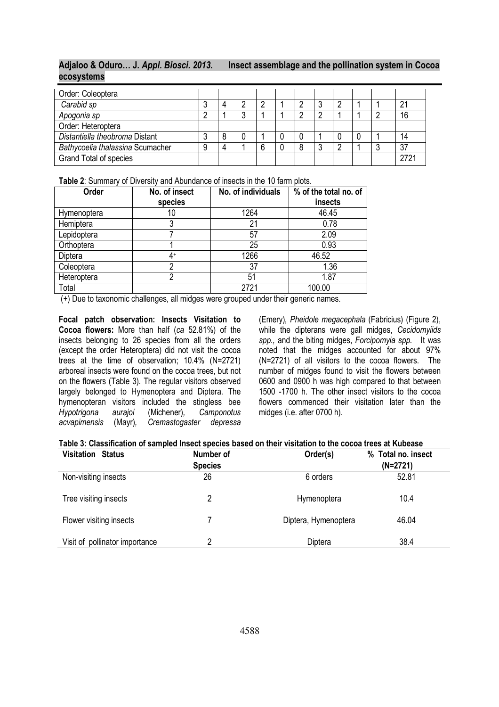| Order: Coleoptera                |   |  |   |  |  |        |      |
|----------------------------------|---|--|---|--|--|--------|------|
| Carabid sp                       |   |  |   |  |  |        |      |
| Apogonia sp                      |   |  |   |  |  |        | 16   |
| Order: Heteroptera               |   |  |   |  |  |        |      |
| Distantiella theobroma Distant   |   |  |   |  |  |        | 14   |
| Bathycoelia thalassina Scumacher | Q |  | 6 |  |  | ີ<br>J | 37   |
| Grand Total of species           |   |  |   |  |  |        | 2721 |

Table 2: Summary of Diversity and Abundance of insects in the 10 farm plots.

| Order       | No. of insect | No. of individuals | % of the total no. of |
|-------------|---------------|--------------------|-----------------------|
|             | species       |                    | insects               |
| Hymenoptera | 10            | 1264               | 46.45                 |
| Hemiptera   |               | 21                 | 0.78                  |
| Lepidoptera |               | 57                 | 2.09                  |
| Orthoptera  |               | 25                 | 0.93                  |
| Diptera     | $4^+$         | 1266               | 46.52                 |
| Coleoptera  | 2             | 37                 | 1.36                  |
| Heteroptera | 2             | 51                 | 1.87                  |
| Total       |               | 2721               | 100.00                |

(+) Due to taxonomic challenges, all midges were grouped under their generic names.

Focal patch observation: Insects Visitation to Cocoa flowers: More than half (ca 52.81%) of the insects belonging to 26 species from all the orders (except the order Heteroptera) did not visit the cocoa trees at the time of observation; 10.4% (N=2721) arboreal insects were found on the cocoa trees, but not on the flowers (Table 3). The regular visitors observed largely belonged to Hymenoptera and Diptera. The hymenopteran visitors included the stingless bee Hypotrigona aurajoi (Michener), Camponotus<br>acvapimensis (Mayr), Cremastogaster depressa acvapimensis (Mayr), Cremastogaster depressa

(Emery), Pheidole megacephala (Fabricius) (Figure 2), while the dipterans were gall midges, Cecidomyiids spp., and the biting midges, Forcipomyia spp. It was noted that the midges accounted for about 97% (N=2721) of all visitors to the cocoa flowers. The number of midges found to visit the flowers between 0600 and 0900 h was high compared to that between 1500 -1700 h. The other insect visitors to the cocoa flowers commenced their visitation later than the midges (i.e. after 0700 h).

|  | Table 3: Classification of sampled Insect species based on their visitation to the cocoa trees at Kubease |
|--|-----------------------------------------------------------------------------------------------------------|
|--|-----------------------------------------------------------------------------------------------------------|

| <b>Visitation Status</b>       | <b>Number of</b><br><b>Species</b> | Order(s)             | % Total no. insect<br>$(N=2721)$ |
|--------------------------------|------------------------------------|----------------------|----------------------------------|
| Non-visiting insects           | 26                                 | 6 orders             | 52.81                            |
| Tree visiting insects          | 2                                  | Hymenoptera          | 10.4                             |
| Flower visiting insects        |                                    | Diptera, Hymenoptera | 46.04                            |
| Visit of pollinator importance |                                    | Diptera              | 38.4                             |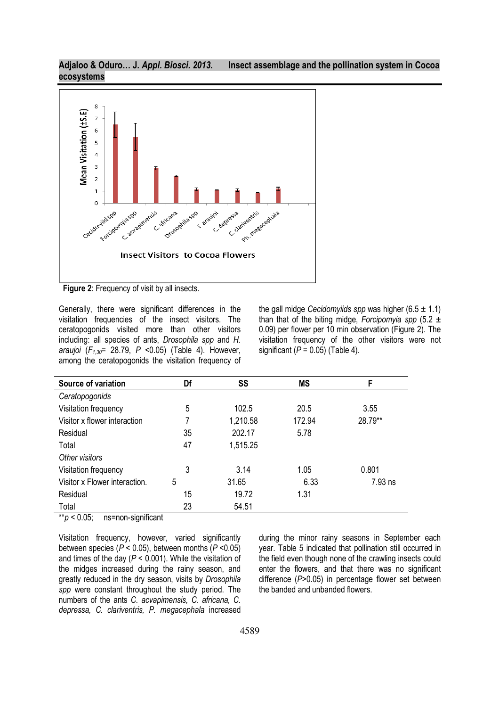

Adjaloo & Oduro... J. Appl. Biosci. 2013. Insect assemblage and the pollination system in Cocoa ecosystems

Figure 2: Frequency of visit by all insects.

Generally, there were significant differences in the visitation frequencies of the insect visitors. The ceratopogonids visited more than other visitors including: all species of ants, Drosophila spp and H. araujoi  $(F_{1,30} = 28.79, P \le 0.05)$  (Table 4). However, among the ceratopogonids the visitation frequency of

the gall midge Cecidomyiids spp was higher  $(6.5 \pm 1.1)$ than that of the biting midge, Forcipomyia spp (5.2  $\pm$ 0.09) per flower per 10 min observation (Figure 2). The visitation frequency of the other visitors were not significant ( $P = 0.05$ ) (Table 4).

|    |          |        | F       |
|----|----------|--------|---------|
|    |          |        |         |
| 5  | 102.5    | 20.5   | 3.55    |
| 7  | 1,210.58 | 172.94 | 28.79** |
| 35 | 202.17   | 5.78   |         |
| 47 | 1,515.25 |        |         |
|    |          |        |         |
| 3  | 3.14     | 1.05   | 0.801   |
|    | 31.65    | 6.33   | 7.93 ns |
| 15 | 19.72    | 1.31   |         |
| 23 | 54.51    |        |         |
|    |          |        |         |

\*\* $p$  < 0.05; ns=non-significant

Visitation frequency, however, varied significantly between species ( $P < 0.05$ ), between months ( $P < 0.05$ ) and times of the day ( $P < 0.001$ ). While the visitation of the midges increased during the rainy season, and greatly reduced in the dry season, visits by Drosophila spp were constant throughout the study period. The numbers of the ants C. acvapimensis, C. africana, C. depressa, C. clariventris, P. megacephala increased

during the minor rainy seasons in September each year. Table 5 indicated that pollination still occurred in the field even though none of the crawling insects could enter the flowers, and that there was no significant difference (P>0.05) in percentage flower set between the banded and unbanded flowers.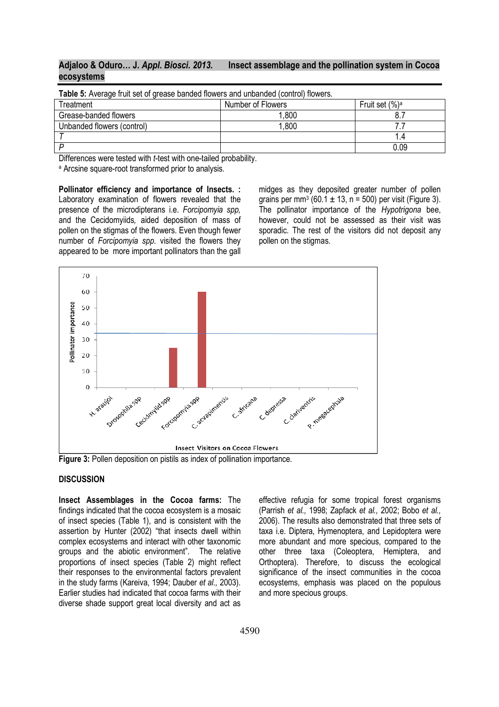| <b>Table 5:</b> Average fruit set of grease banded flowers and unbanded (control) flowers. |                   |                            |  |  |  |  |
|--------------------------------------------------------------------------------------------|-------------------|----------------------------|--|--|--|--|
| Treatment                                                                                  | Number of Flowers | Fruit set (%) <sup>a</sup> |  |  |  |  |
| Grease-banded flowers                                                                      | 1,800             |                            |  |  |  |  |
| Unbanded flowers (control)                                                                 | 1,800             |                            |  |  |  |  |
|                                                                                            |                   |                            |  |  |  |  |
|                                                                                            |                   | 0.09                       |  |  |  |  |

Differences were tested with *t*-test with one-tailed probability.

a Arcsine square-root transformed prior to analysis.

Pollinator efficiency and importance of Insects. : Laboratory examination of flowers revealed that the presence of the microdipterans i.e. Forcipomyia spp, and the Cecidomyiids, aided deposition of mass of pollen on the stigmas of the flowers. Even though fewer number of *Forcipomyia spp.* visited the flowers they appeared to be more important pollinators than the gall midges as they deposited greater number of pollen grains per mm<sup>3</sup> (60.1  $\pm$  13, n = 500) per visit (Figure 3). The pollinator importance of the *Hypotrigona* bee, however, could not be assessed as their visit was sporadic. The rest of the visitors did not deposit any pollen on the stigmas.



Figure 3: Pollen deposition on pistils as index of pollination importance.

## **DISCUSSION**

Insect Assemblages in the Cocoa farms: The findings indicated that the cocoa ecosystem is a mosaic of insect species (Table 1), and is consistent with the assertion by Hunter (2002) "that insects dwell within complex ecosystems and interact with other taxonomic groups and the abiotic environment". The relative proportions of insect species (Table 2) might reflect their responses to the environmental factors prevalent in the study farms (Kareiva, 1994; Dauber et al., 2003). Earlier studies had indicated that cocoa farms with their diverse shade support great local diversity and act as

effective refugia for some tropical forest organisms (Parrish et al., 1998; Zapfack et al., 2002; Bobo et al., 2006). The results also demonstrated that three sets of taxa i.e. Diptera, Hymenoptera, and Lepidoptera were more abundant and more specious, compared to the other three taxa (Coleoptera, Hemiptera, and Orthoptera). Therefore, to discuss the ecological significance of the insect communities in the cocoa ecosystems, emphasis was placed on the populous and more specious groups.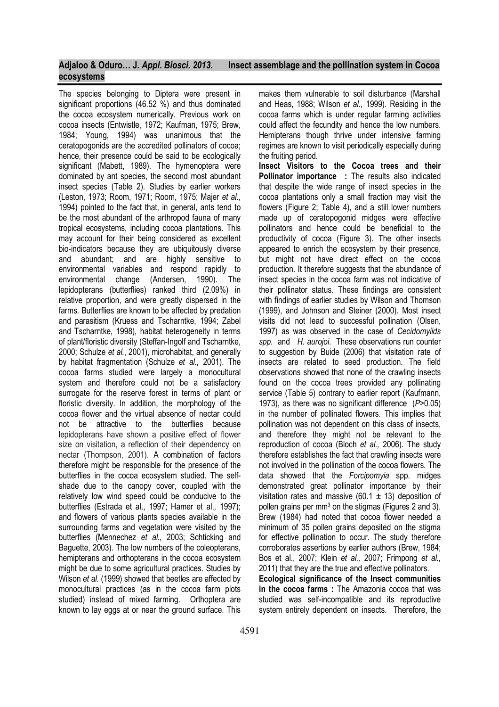The species belonging to Diptera were present in significant proportions (46.52 %) and thus dominated the cocoa ecosystem numerically. Previous work on cocoa insects (Entwistle, 1972; Kaufman, 1975; Brew, 1984; Young, 1994) was unanimous that the ceratopogonids are the accredited pollinators of cocoa; hence, their presence could be said to be ecologically significant (Mabett, 1989). The hymenoptera were dominated by ant species, the second most abundant insect species (Table 2). Studies by earlier workers (Leston, 1973; Room, 1971; Room, 1975; Majer et al., 1994) pointed to the fact that, in general, ants tend to be the most abundant of the arthropod fauna of many tropical ecosystems, including cocoa plantations. This may account for their being considered as excellent bio-indicators because they are ubiquitously diverse and abundant; and are highly sensitive to environmental variables and respond rapidly to environmental change (Andersen, 1990). The lepidopterans (butterflies) ranked third (2.09%) in relative proportion, and were greatly dispersed in the farms. Butterflies are known to be affected by predation and parasitism (Kruess and Tscharntke, 1994; Zabel and Tscharntke, 1998), habitat heterogeneity in terms of plant/floristic diversity (Steffan-Ingolf and Tscharntke, 2000; Schulze et al., 2001), microhabitat, and generally by habitat fragmentation (Schulze et al., 2001). The cocoa farms studied were largely a monocultural system and therefore could not be a satisfactory surrogate for the reserve forest in terms of plant or floristic diversity. In addition, the morphology of the cocoa flower and the virtual absence of nectar could not be attractive to the butterflies because lepidopterans have shown a positive effect of flower size on visitation, a reflection of their dependency on nectar (Thompson, 2001). A combination of factors therefore might be responsible for the presence of the butterflies in the cocoa ecosystem studied. The selfshade due to the canopy cover, coupled with the relatively low wind speed could be conducive to the butterflies (Estrada et al., 1997; Hamer et al., 1997); and flowers of various plants species available in the surrounding farms and vegetation were visited by the butterflies (Mennechez et al., 2003; Schticking and Baguette, 2003). The low numbers of the coleopterans, hemipterans and orthopterans in the cocoa ecosystem might be due to some agricultural practices. Studies by Wilson *et al.* (1999) showed that beetles are affected by monocultural practices (as in the cocoa farm plots studied) instead of mixed farming. Orthoptera are known to lay eggs at or near the ground surface. This

makes them vulnerable to soil disturbance (Marshall and Heas, 1988; Wilson et al., 1999). Residing in the cocoa farms which is under regular farming activities could affect the fecundity and hence the low numbers. Hemipterans though thrive under intensive farming regimes are known to visit periodically especially during the fruiting period.

Insect Visitors to the Cocoa trees and their Pollinator importance : The results also indicated that despite the wide range of insect species in the cocoa plantations only a small fraction may visit the flowers (Figure 2; Table 4), and a still lower numbers made up of ceratopogonid midges were effective pollinators and hence could be beneficial to the productivity of cocoa (Figure 3). The other insects appeared to enrich the ecosystem by their presence, but might not have direct effect on the cocoa production. It therefore suggests that the abundance of insect species in the cocoa farm was not indicative of their pollinator status. These findings are consistent with findings of earlier studies by Wilson and Thomson (1999), and Johnson and Steiner (2000). Most insect visits did not lead to successful pollination (Olsen, 1997) as was observed in the case of Cecidomyiids spp. and H. aurojoi. These observations run counter to suggestion by Buide (2006) that visitation rate of insects are related to seed production. The field observations showed that none of the crawling insects found on the cocoa trees provided any pollinating service (Table 5) contrary to earlier report (Kaufmann, 1973), as there was no significant difference (P>0.05) in the number of pollinated flowers. This implies that pollination was not dependent on this class of insects, and therefore they might not be relevant to the reproduction of cocoa (Bloch et al., 2006). The study therefore establishes the fact that crawling insects were not involved in the pollination of the cocoa flowers. The data showed that the Forcipomvia spp. midges demonstrated great pollinator importance by their visitation rates and massive (60.1  $\pm$  13) deposition of pollen grains per mm<sup>3</sup> on the stigmas (Figures 2 and 3). Brew (1984) had noted that cocoa flower needed a minimum of 35 pollen grains deposited on the stigma for effective pollination to occur. The study therefore corroborates assertions by earlier authors (Brew, 1984; Bos et al., 2007; Klein et al., 2007; Frimpong et al., 2011) that they are the true and effective pollinators.

Ecological significance of the Insect communities in the cocoa farms : The Amazonia cocoa that was studied was self-incompatible and its reproductive system entirely dependent on insects. Therefore, the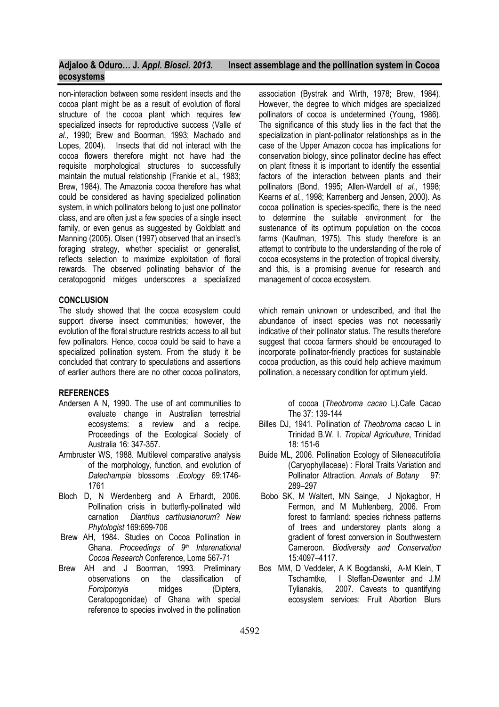non-interaction between some resident insects and the cocoa plant might be as a result of evolution of floral structure of the cocoa plant which requires few specialized insects for reproductive success (Valle et al., 1990; Brew and Boorman, 1993; Machado and Lopes, 2004). Insects that did not interact with the cocoa flowers therefore might not have had the requisite morphological structures to successfully maintain the mutual relationship (Frankie et al., 1983; Brew, 1984). The Amazonia cocoa therefore has what could be considered as having specialized pollination system, in which pollinators belong to just one pollinator class, and are often just a few species of a single insect family, or even genus as suggested by Goldblatt and Manning (2005). Olsen (1997) observed that an insect's foraging strategy, whether specialist or generalist, reflects selection to maximize exploitation of floral rewards. The observed pollinating behavior of the ceratopogonid midges underscores a specialized

## **CONCLUSION**

The study showed that the cocoa ecosystem could support diverse insect communities; however, the evolution of the floral structure restricts access to all but few pollinators. Hence, cocoa could be said to have a specialized pollination system. From the study it be concluded that contrary to speculations and assertions of earlier authors there are no other cocoa pollinators,

### **REFERENCES**

- Andersen A N, 1990. The use of ant communities to evaluate change in Australian terrestrial ecosystems: a review and a recipe. Proceedings of the Ecological Society of Australia 16: 347-357.
- Armbruster WS, 1988. Multilevel comparative analysis of the morphology, function, and evolution of Dalechampia blossoms .Ecology 69:1746- 1761
- Bloch D, N Werdenberg and A Erhardt, 2006. Pollination crisis in butterfly-pollinated wild carnation Dianthus carthusianorum? New Phytologist 169:699-706
- Brew AH, 1984. Studies on Cocoa Pollination in Ghana. Proceedings of  $9<sup>th</sup>$  Interenational Cocoa Research Conference, Lome 567-71
- Brew AH and J Boorman, 1993. Preliminary observations on the classification of Forcipomyia midges (Diptera, Ceratopogonidae) of Ghana with special reference to species involved in the pollination

association (Bystrak and Wirth, 1978; Brew, 1984). However, the degree to which midges are specialized pollinators of cocoa is undetermined (Young, 1986). The significance of this study lies in the fact that the specialization in plant-pollinator relationships as in the case of the Upper Amazon cocoa has implications for conservation biology, since pollinator decline has effect on plant fitness it is important to identify the essential factors of the interaction between plants and their pollinators (Bond, 1995; Allen-Wardell et al., 1998; Kearns et al., 1998; Karrenberg and Jensen, 2000). As cocoa pollination is species-specific, there is the need to determine the suitable environment for the sustenance of its optimum population on the cocoa farms (Kaufman, 1975). This study therefore is an attempt to contribute to the understanding of the role of cocoa ecosystems in the protection of tropical diversity, and this, is a promising avenue for research and management of cocoa ecosystem.

which remain unknown or undescribed, and that the abundance of insect species was not necessarily indicative of their pollinator status. The results therefore suggest that cocoa farmers should be encouraged to incorporate pollinator-friendly practices for sustainable cocoa production, as this could help achieve maximum pollination, a necessary condition for optimum yield.

> of cocoa (Theobroma cacao L).Cafe Cacao The 37: 139-144

- Billes DJ, 1941. Pollination of Theobroma cacao L in Trinidad B.W. I. Tropical Agriculture, Trinidad 18: 151-6
- Buide ML, 2006. Pollination Ecology of Sileneacutifolia (Caryophyllaceae) : Floral Traits Variation and Pollinator Attraction. Annals of Botany 97: 289–297
- Bobo SK, M Waltert, MN Sainge, J Njokagbor, H Fermon, and M Muhlenberg, 2006. From forest to farmland: species richness patterns of trees and understorey plants along a gradient of forest conversion in Southwestern Cameroon. Biodiversity and Conservation 15:4097–4117.
- Bos MM, D Veddeler, A K Bogdanski, A-M Klein, T Tscharntke, I Steffan-Dewenter and J.M Tylianakis, 2007. Caveats to quantifying ecosystem services: Fruit Abortion Blurs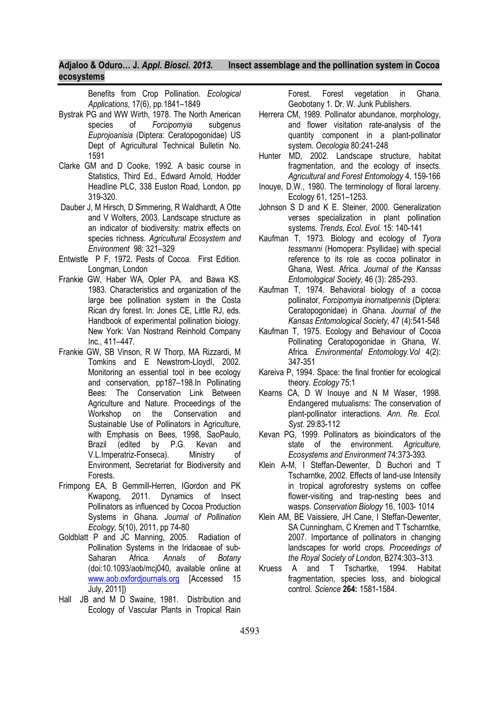Benefits from Crop Pollination. Ecological Applications, 17(6), pp.1841–1849

- Bystrak PG and WW Wirth, 1978. The North American species of *Forcipomvia* subgenus Euprojoanisia (Diptera: Ceratopogonidae) US Dept of Agricultural Technical Bulletin No. 1591
- Clarke GM and D Cooke, 1992. A basic course in Statistics, Third Ed., Edward Arnold, Hodder Headline PLC, 338 Euston Road, London, pp 319-320.
- Dauber J, M Hirsch, D Simmering, R Waldhardt, A Otte and V Wolters, 2003. Landscape structure as an indicator of biodiversity: matrix effects on species richness. Agricultural Ecosystem and Environment 98: 321–329
- Entwistle P F, 1972. Pests of Cocoa. First Edition. Longman, London
- Frankie GW, Haber WA, Opler PA, and Bawa KS. 1983. Characteristics and organization of the large bee pollination system in the Costa Rican dry forest. In: Jones CE, Little RJ, eds. Handbook of experimental pollination biology. New York: Van Nostrand Reinhold Company Inc., 411–447.
- Frankie GW, SB Vinson, R W Thorp, MA Rizzardi, M Tomkins and E Newstrom-LloydI, 2002. Monitoring an essential tool in bee ecology and conservation, pp187–198.In Pollinating Bees: The Conservation Link Between Agriculture and Nature. Proceedings of the Workshop on the Conservation and Sustainable Use of Pollinators in Agriculture, with Emphasis on Bees, 1998, SaoPaulo, Brazil (edited by P.G. Kevan and V.L.Imperatriz-Fonseca). Ministry of Environment, Secretariat for Biodiversity and Forests.
- Frimpong EA, B Gemmill-Herren, IGordon and PK Kwapong, 2011. Dynamics of Insect Pollinators as influenced by Cocoa Production Systems in Ghana. Journal of Pollination Ecology, 5(10), 2011, pp 74-80
- Goldblatt P and JC Manning, 2005. Radiation of Pollination Systems in the Iridaceae of sub-Saharan Africa. Annals of Botany (doi:10.1093/aob/mcj040, available online at www.aob.oxfordiournals.org [Accessed 15 July, 2011])
- Hall JB and M D Swaine, 1981. Distribution and Ecology of Vascular Plants in Tropical Rain

Forest. Forest vegetation in Ghana. Geobotany 1. Dr. W. Junk Publishers.

- Herrera CM, 1989. Pollinator abundance, morphology, and flower visitation rate-analysis of the quantity component in a plant-pollinator system. Oecologia 80:241-248
- Hunter MD, 2002. Landscape structure, habitat fragmentation, and the ecology of insects. Agricultural and Forest Entomology 4, 159-166
- Inouye, D.W., 1980. The terminology of floral larceny. Ecology 61, 1251–1253.
- Johnson S D and K E. Steiner, 2000. Generalization verses specialization in plant pollination systems. Trends, Ecol. Evol. 15: 140-141
- Kaufman T, 1973. Biology and ecology of Tyora tessmanni (Homopera: Psyllidae) with special reference to its role as cocoa pollinator in Ghana, West. Africa. Journal of the Kansas Entomological Society, 46 (3): 285-293.
- Kaufman T, 1974. Behavioral biology of a cocoa pollinator, Forcipomyia inornatipennis (Diptera: Ceratopogonidae) in Ghana. Journal of the Kansas Entomological Society, 47 (4):541-548
- Kaufman T, 1975. Ecology and Behaviour of Cocoa Pollinating Ceratopogonidae in Ghana, W. Africa. Environmental Entomology. Vol 4(2): 347-351
- Kareiva P, 1994. Space: the final frontier for ecological theory. Ecology 75:1
- Kearns CA, D W Inouye and N M Waser, 1998. Endangered mutualisms: The conservation of plant-pollinator interactions. Ann. Re. Ecol. Syst. 29:83-112
- Kevan PG, 1999. Pollinators as bioindicators of the state of the environment. Agriculture, Ecosystems and Environment 74:373-393.
- Klein A-M, I Steffan-Dewenter, D Buchori and T Tscharntke, 2002. Effects of land-use Intensity in tropical agroforestry systems on coffee flower-visiting and trap-nesting bees and wasps. Conservation Biology 16, 1003- 1014
- Klein AM, BE Vaissiere, JH Cane, I Steffan-Dewenter, SA Cunningham, C Kremen and T Tscharntke, 2007. Importance of pollinators in changing landscapes for world crops. Proceedings of the Royal Society of London, B274:303–313.
- Kruess A and T Tschartke, 1994. Habitat fragmentation, species loss, and biological control. Science 264: 1581-1584.